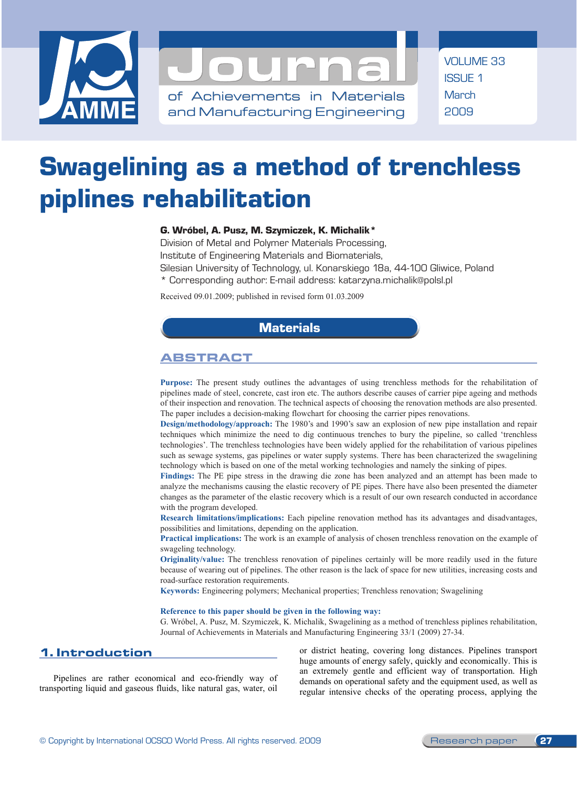

# Swagelining as a method of trenchless piplines rehabilitation

## G. Wróbel, A. Pusz, M. Szymiczek, K. Michalik\*

Division of Metal and Polymer Materials Processing,

Institute of Engineering Materials and Biomaterials,

- Silesian University of Technology, ul. Konarskiego 18a, 44-100 Gliwice, Poland
- \* Corresponding author: E-mail address: katarzyna.michalik@polsl.pl

Received 09.01.2009; published in revised form 01.03.2009

## Materials

## Abstract

**Purpose:** The present study outlines the advantages of using trenchless methods for the rehabilitation of pipelines made of steel, concrete, cast iron etc. The authors describe causes of carrier pipe ageing and methods of their inspection and renovation. The technical aspects of choosing the renovation methods are also presented. The paper includes a decision-making flowchart for choosing the carrier pipes renovations.

**Design/methodology/approach:** The 1980's and 1990's saw an explosion of new pipe installation and repair techniques which minimize the need to dig continuous trenches to bury the pipeline, so called 'trenchless technologies'. The trenchless technologies have been widely applied for the rehabilitation of various pipelines such as sewage systems, gas pipelines or water supply systems. There has been characterized the swagelining technology which is based on one of the metal working technologies and namely the sinking of pipes.

**Findings:** The PE pipe stress in the drawing die zone has been analyzed and an attempt has been made to analyze the mechanisms causing the elastic recovery of PE pipes. There have also been presented the diameter changes as the parameter of the elastic recovery which is a result of our own research conducted in accordance with the program developed.

**Research limitations/implications:** Each pipeline renovation method has its advantages and disadvantages, possibilities and limitations, depending on the application.

**Practical implications:** The work is an example of analysis of chosen trenchless renovation on the example of swageling technology.

**Originality/value:** The trenchless renovation of pipelines certainly will be more readily used in the future because of wearing out of pipelines. The other reason is the lack of space for new utilities, increasing costs and road-surface restoration requirements.

**Keywords:** Engineering polymers; Mechanical properties; Trenchless renovation; Swagelining

#### **Reference to this paper should be given in the following way:**

G. Wróbel, A. Pusz, M. Szymiczek, K. Michalik, Swagelining as a method of trenchless piplines rehabilitation, Journal of Achievements in Materials and Manufacturing Engineering 33/1 (2009) 27-34.

# **1. Introduction**  1. Introduction

Pipelines are rather economical and eco-friendly way of transporting liquid and gaseous fluids, like natural gas, water, oil

or district heating, covering long distances. Pipelines transport huge amounts of energy safely, quickly and economically. This is an extremely gentle and efficient way of transportation. High demands on operational safety and the equipment used, as well as regular intensive checks of the operating process, applying the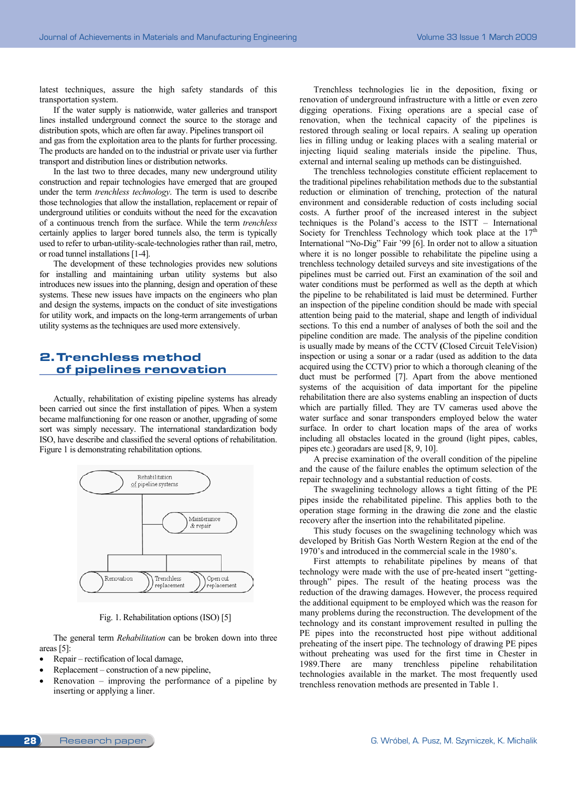latest techniques, assure the high safety standards of this transportation system.

If the water supply is nationwide, water galleries and transport lines installed underground connect the source to the storage and distribution spots, which are often far away. Pipelines transport oil and gas from the exploitation area to the plants for further processing.

The products are handed on to the industrial or private user via further transport and distribution lines or distribution networks.

In the last two to three decades, many new underground utility construction and repair technologies have emerged that are grouped under the term *trenchless technology*. The term is used to describe those technologies that allow the installation, replacement or repair of underground utilities or conduits without the need for the excavation of a continuous trench from the surface. While the term *trenchless*  certainly applies to larger bored tunnels also, the term is typically used to refer to urban-utility-scale-technologies rather than rail, metro, or road tunnel installations [1-4].

The development of these technologies provides new solutions for installing and maintaining urban utility systems but also introduces new issues into the planning, design and operation of these systems. These new issues have impacts on the engineers who plan and design the systems, impacts on the conduct of site investigations for utility work, and impacts on the long-term arrangements of urban utility systems as the techniques are used more extensively.

# **2. Trenchless method renovation**  of pipelines renovation

Actually, rehabilitation of existing pipeline systems has already been carried out since the first installation of pipes. When a system became malfunctioning for one reason or another, upgrading of some sort was simply necessary. The international standardization body ISO, have describe and classified the several options of rehabilitation. Figure 1 is demonstrating rehabilitation options.



Fig. 1. Rehabilitation options (ISO) [5]

The general term *Rehabilitation* can be broken down into three areas [5]:

- x Repair rectification of local damage,
- x Replacement construction of a new pipeline,
- Renovation improving the performance of a pipeline by inserting or applying a liner.

Trenchless technologies lie in the deposition, fixing or renovation of underground infrastructure with a little or even zero digging operations. Fixing operations are a special case of renovation, when the technical capacity of the pipelines is restored through sealing or local repairs. A sealing up operation lies in filling undug or leaking places with a sealing material or injecting liquid sealing materials inside the pipeline. Thus, external and internal sealing up methods can be distinguished.

The trenchless technologies constitute efficient replacement to the traditional pipelines rehabilitation methods due to the substantial reduction or elimination of trenching, protection of the natural environment and considerable reduction of costs including social costs. A further proof of the increased interest in the subject techniques is the Poland's access to the ISTT – International Society for Trenchless Technology which took place at the  $17<sup>th</sup>$ International "No-Dig" Fair '99 [6]. In order not to allow a situation where it is no longer possible to rehabilitate the pipeline using a trenchless technology detailed surveys and site investigations of the pipelines must be carried out. First an examination of the soil and water conditions must be performed as well as the depth at which the pipeline to be rehabilitated is laid must be determined. Further an inspection of the pipeline condition should be made with special attention being paid to the material, shape and length of individual sections. To this end a number of analyses of both the soil and the pipeline condition are made. The analysis of the pipeline condition is usually made by means of the CCTV **(**Closed Circuit TeleVision) inspection or using a sonar or a radar (used as addition to the data acquired using the CCTV) prior to which a thorough cleaning of the duct must be performed [7]. Apart from the above mentioned systems of the acquisition of data important for the pipeline rehabilitation there are also systems enabling an inspection of ducts which are partially filled. They are TV cameras used above the water surface and sonar transponders employed below the water surface. In order to chart location maps of the area of works including all obstacles located in the ground (light pipes, cables, pipes etc.) georadars are used [8, 9, 10].

A precise examination of the overall condition of the pipeline and the cause of the failure enables the optimum selection of the repair technology and a substantial reduction of costs.

The swagelining technology allows a tight fitting of the PE pipes inside the rehabilitated pipeline. This applies both to the operation stage forming in the drawing die zone and the elastic recovery after the insertion into the rehabilitated pipeline.

This study focuses on the swagelining technology which was developed by British Gas North Western Region at the end of the 1970's and introduced in the commercial scale in the 1980's.

First attempts to rehabilitate pipelines by means of that technology were made with the use of pre-heated insert "gettingthrough" pipes. The result of the heating process was the reduction of the drawing damages. However, the process required the additional equipment to be employed which was the reason for many problems during the reconstruction. The development of the technology and its constant improvement resulted in pulling the PE pipes into the reconstructed host pipe without additional preheating of the insert pipe. The technology of drawing PE pipes without preheating was used for the first time in Chester in 1989.There are many trenchless pipeline rehabilitation technologies available in the market. The most frequently used trenchless renovation methods are presented in Table 1.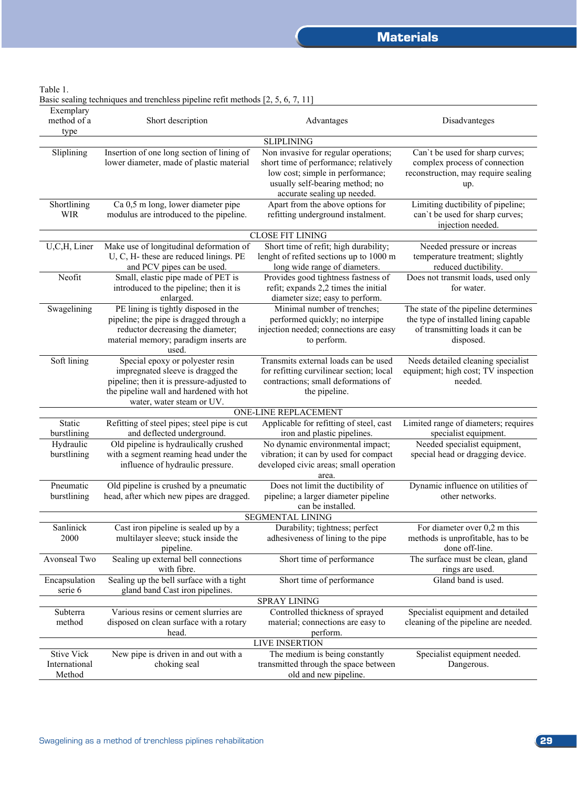Table 1.

Basic sealing techniques and trenchless pipeline refit methods [2, 5, 6, 7, 11]

| Exemplary<br>method of a<br>type             | Short description                                                                                                                                                                          | Advantages                                                                                                                                                                          | Disadvanteges                                                                                                                |  |  |  |
|----------------------------------------------|--------------------------------------------------------------------------------------------------------------------------------------------------------------------------------------------|-------------------------------------------------------------------------------------------------------------------------------------------------------------------------------------|------------------------------------------------------------------------------------------------------------------------------|--|--|--|
| <b>SLIPLINING</b>                            |                                                                                                                                                                                            |                                                                                                                                                                                     |                                                                                                                              |  |  |  |
| Sliplining                                   | Insertion of one long section of lining of<br>lower diameter, made of plastic material                                                                                                     | Non invasive for regular operations;<br>short time of performance; relatively<br>low cost; simple in performance;<br>usually self-bearing method; no<br>accurate sealing up needed. | Can't be used for sharp curves;<br>complex process of connection<br>reconstruction, may require sealing<br>up.               |  |  |  |
| Shortlining<br><b>WIR</b>                    | Ca 0,5 m long, lower diameter pipe<br>modulus are introduced to the pipeline.                                                                                                              | Apart from the above options for<br>refitting underground instalment.                                                                                                               | Limiting ductibility of pipeline;<br>can't be used for sharp curves;<br>injection needed.                                    |  |  |  |
|                                              |                                                                                                                                                                                            | <b>CLOSE FIT LINING</b>                                                                                                                                                             |                                                                                                                              |  |  |  |
| U,C,H, Liner                                 | Make use of longitudinal deformation of<br>U, C, H- these are reduced linings. PE<br>and PCV pipes can be used.                                                                            | Short time of refit; high durability;<br>lenght of refited sections up to 1000 m<br>long wide range of diameters.                                                                   | Needed pressure or increas<br>temperature treatment; slightly<br>reduced ductibility.                                        |  |  |  |
| Neofit                                       | Small, elastic pipe made of PET is<br>introduced to the pipeline; then it is<br>enlarged.                                                                                                  | Provides good tightness fastness of<br>refit; expands 2,2 times the initial<br>diameter size; easy to perform.                                                                      | Does not transmit loads, used only<br>for water.                                                                             |  |  |  |
| Swagelining                                  | PE lining is tightly disposed in the<br>pipeline; the pipe is dragged through a<br>reductor decreasing the diameter;<br>material memory; paradigm inserts are<br>used.                     | Minimal number of trenches;<br>performed quickly; no interpipe<br>injection needed; connections are easy<br>to perform.                                                             | The state of the pipeline determines<br>the type of installed lining capable<br>of transmitting loads it can be<br>disposed. |  |  |  |
| Soft lining                                  | Special epoxy or polyester resin<br>impregnated sleeve is dragged the<br>pipeline; then it is pressure-adjusted to<br>the pipeline wall and hardened with hot<br>water, water steam or UV. | Transmits external loads can be used<br>for refitting curvilinear section; local<br>contractions; small deformations of<br>the pipeline.                                            | Needs detailed cleaning specialist<br>equipment; high cost; TV inspection<br>needed.                                         |  |  |  |
|                                              |                                                                                                                                                                                            | ONE-LINE REPLACEMENT                                                                                                                                                                |                                                                                                                              |  |  |  |
| Static                                       | Refitting of steel pipes; steel pipe is cut                                                                                                                                                | Applicable for refitting of steel, cast                                                                                                                                             | Limited range of diameters; requires                                                                                         |  |  |  |
| burstlining                                  | and deflected underground.                                                                                                                                                                 | iron and plastic pipelines.                                                                                                                                                         | specialist equipment.                                                                                                        |  |  |  |
| Hydraulic<br>burstlining                     | Old pipeline is hydraulically crushed<br>with a segment reaming head under the<br>influence of hydraulic pressure.                                                                         | No dynamic environmental impact;<br>vibration; it can by used for compact<br>developed civic areas; small operation<br>area.                                                        | Needed specialist equipment,<br>special head or dragging device.                                                             |  |  |  |
| Pneumatic<br>burstlining                     | Old pipeline is crushed by a pneumatic<br>head, after which new pipes are dragged.                                                                                                         | Does not limit the ductibility of<br>pipeline; a larger diameter pipeline<br>can be installed.                                                                                      | Dynamic influence on utilities of<br>other networks.                                                                         |  |  |  |
| <b>SEGMENTAL LINING</b>                      |                                                                                                                                                                                            |                                                                                                                                                                                     |                                                                                                                              |  |  |  |
| Sanlinick<br>2000                            | Cast iron pipeline is sealed up by a<br>multilayer sleeve; stuck inside the<br>pipeline.                                                                                                   | Durability; tightness; perfect<br>adhesiveness of lining to the pipe                                                                                                                | For diameter over $0,2$ m this<br>methods is unprofitable, has to be<br>done off-line.                                       |  |  |  |
| Avonseal Two                                 | Sealing up external bell connections<br>with fibre.                                                                                                                                        | Short time of performance                                                                                                                                                           | The surface must be clean, gland<br>rings are used.                                                                          |  |  |  |
| Encapsulation<br>serie 6                     | Sealing up the bell surface with a tight<br>gland band Cast iron pipelines.                                                                                                                | Short time of performance                                                                                                                                                           | Gland band is used.                                                                                                          |  |  |  |
|                                              |                                                                                                                                                                                            | <b>SPRAY LINING</b>                                                                                                                                                                 |                                                                                                                              |  |  |  |
| Subterra<br>method                           | Various resins or cement slurries are<br>disposed on clean surface with a rotary<br>head.                                                                                                  | Controlled thickness of sprayed<br>material; connections are easy to<br>perform.                                                                                                    | Specialist equipment and detailed<br>cleaning of the pipeline are needed.                                                    |  |  |  |
| LIVE INSERTION                               |                                                                                                                                                                                            |                                                                                                                                                                                     |                                                                                                                              |  |  |  |
| <b>Stive Vick</b><br>International<br>Method | New pipe is driven in and out with a<br>choking seal                                                                                                                                       | The medium is being constantly<br>transmitted through the space between<br>old and new pipeline.                                                                                    | Specialist equipment needed.<br>Dangerous.                                                                                   |  |  |  |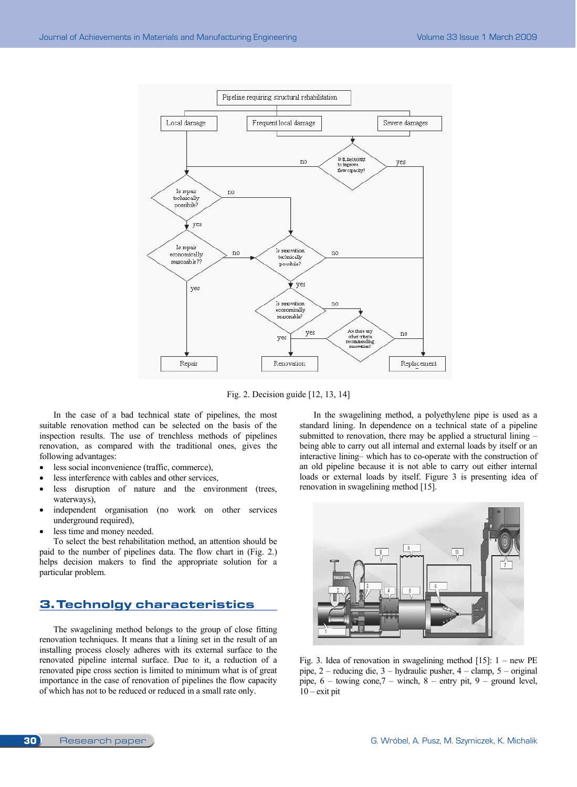

Fig. 2. Decision guide [12, 13, 14]

In the case of a bad technical state of pipelines, the most suitable renovation method can be selected on the basis of the inspection results. The use of trenchless methods of pipelines renovation, as compared with the traditional ones, gives the following advantages:

- less social inconvenience (traffic, commerce),
- less interference with cables and other services.
- less disruption of nature and the environment (trees, waterways),
- independent organisation (no work on other services underground required),
- less time and money needed.

To select the best rehabilitation method, an attention should be paid to the number of pipelines data. The flow chart in (Fig. 2.) helps decision makers to find the appropriate solution for a particular problem.

# **3.Technolgy characteristics**  3. Technolgy characteristics

The swagelining method belongs to the group of close fitting renovation techniques. It means that a lining set in the result of an installing process closely adheres with its external surface to the renovated pipeline internal surface. Due to it, a reduction of a renovated pipe cross section is limited to minimum what is of great importance in the case of renovation of pipelines the flow capacity of which has not to be reduced or reduced in a small rate only.

In the swagelining method, a polyethylene pipe is used as a standard lining. In dependence on a technical state of a pipeline submitted to renovation, there may be applied a structural lining – being able to carry out all internal and external loads by itself or an interactive lining– which has to co-operate with the construction of an old pipeline because it is not able to carry out either internal loads or external loads by itself. Figure 3 is presenting idea of renovation in swagelining method [15].



Fig. 3. Idea of renovation in swagelining method  $[15]$ : 1 – new PE pipe, 2 – reducing die, 3 – hydraulic pusher, 4 – clamp, 5 – original pipe,  $6 -$  towing cone,  $7 -$  winch,  $8 -$  entry pit,  $9 -$  ground level,  $10 -$  exit pit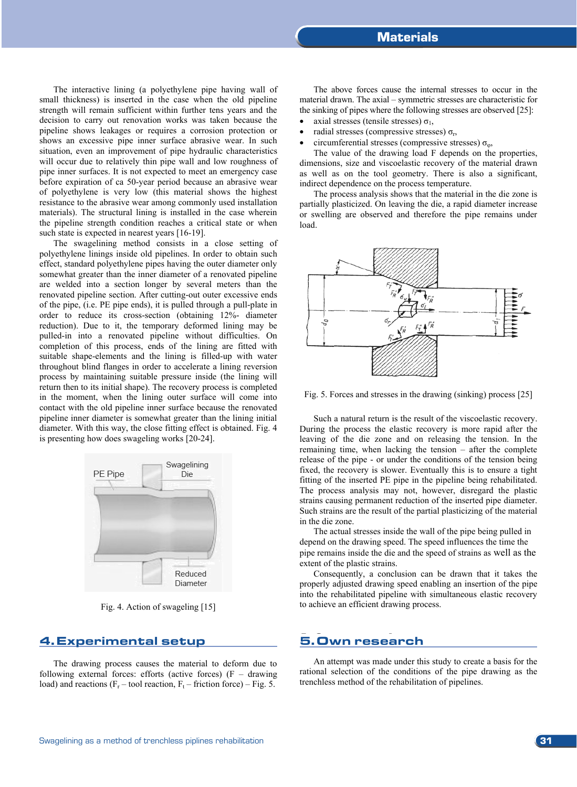## **[Materials](http://www.journalamme.org)**

The interactive lining (a polyethylene pipe having wall of small thickness) is inserted in the case when the old pipeline strength will remain sufficient within further tens years and the decision to carry out renovation works was taken because the pipeline shows leakages or requires a corrosion protection or shows an excessive pipe inner surface abrasive wear. In such situation, even an improvement of pipe hydraulic characteristics will occur due to relatively thin pipe wall and low roughness of pipe inner surfaces. It is not expected to meet an emergency case before expiration of ca 50-year period because an abrasive wear of polyethylene is very low (this material shows the highest resistance to the abrasive wear among commonly used installation materials). The structural lining is installed in the case wherein the pipeline strength condition reaches a critical state or when such state is expected in nearest years [16-19].

The swagelining method consists in a close setting of polyethylene linings inside old pipelines. In order to obtain such effect, standard polyethylene pipes having the outer diameter only somewhat greater than the inner diameter of a renovated pipeline are welded into a section longer by several meters than the renovated pipeline section. After cutting-out outer excessive ends of the pipe, (i.e. PE pipe ends), it is pulled through a pull-plate in order to reduce its cross-section (obtaining 12%- diameter reduction). Due to it, the temporary deformed lining may be pulled-in into a renovated pipeline without difficulties. On completion of this process, ends of the lining are fitted with suitable shape-elements and the lining is filled-up with water throughout blind flanges in order to accelerate a lining reversion process by maintaining suitable pressure inside (the lining will return then to its initial shape). The recovery process is completed in the moment, when the lining outer surface will come into contact with the old pipeline inner surface because the renovated pipeline inner diameter is somewhat greater than the lining initial diameter. With this way, the close fitting effect is obtained. Fig. 4 is presenting how does swageling works [20-24].



Fig. 4. Action of swageling [15]

## 4. Experimental setup **5. Own research**

The drawing process causes the material to deform due to following external forces: efforts (active forces) (F – drawing load) and reactions  $(F_r - \text{tool reaction}, F_t - \text{friction force}) - \text{Fig. 5.}$ 

The above forces cause the internal stresses to occur in the material drawn. The axial – symmetric stresses are characteristic for the sinking of pipes where the following stresses are observed [25]:

- axial stresses (tensile stresses)  $\sigma_1$ ,
- radial stresses (compressive stresses)  $\sigma_r$ ,
- circumferential stresses (compressive stresses)  $\sigma_{\omega}$ ,

The value of the drawing load F depends on the properties, dimensions, size and viscoelastic recovery of the material drawn as well as on the tool geometry. There is also a significant, indirect dependence on the process temperature.

The process analysis shows that the material in the die zone is partially plasticized. On leaving the die, a rapid diameter increase or swelling are observed and therefore the pipe remains under load.



Fig. 5. Forces and stresses in the drawing (sinking) process [25]

Such a natural return is the result of the viscoelastic recovery. During the process the elastic recovery is more rapid after the leaving of the die zone and on releasing the tension. In the remaining time, when lacking the tension – after the complete release of the pipe - or under the conditions of the tension being fixed, the recovery is slower. Eventually this is to ensure a tight fitting of the inserted PE pipe in the pipeline being rehabilitated. The process analysis may not, however, disregard the plastic strains causing permanent reduction of the inserted pipe diameter. Such strains are the result of the partial plasticizing of the material in the die zone.

The actual stresses inside the wall of the pipe being pulled in depend on the drawing speed. The speed influences the time the pipe remains inside the die and the speed of strains as well as the extent of the plastic strains.

Consequently, a conclusion can be drawn that it takes the properly adjusted drawing speed enabling an insertion of the pipe into the rehabilitated pipeline with simultaneous elastic recovery to achieve an efficient drawing process.

## **5. Own research**

An attempt was made under this study to create a basis for the rational selection of the conditions of the pipe drawing as the trenchless method of the rehabilitation of pipelines.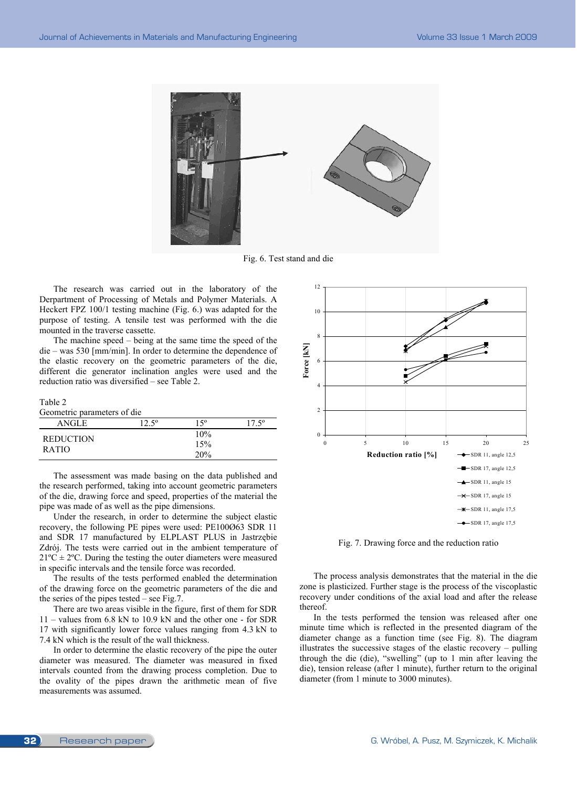

Fig. 6. Test stand and die

The research was carried out in the laboratory of the Derpartment of Processing of Metals and Polymer Materials. A Heckert FPZ 100/1 testing machine (Fig. 6.) was adapted for the purpose of testing. A tensile test was performed with the die mounted in the traverse cassette.

The machine speed – being at the same time the speed of the die – was 530 [mm/min]. In order to determine the dependence of the elastic recovery on the geometric parameters of the die, different die generator inclination angles were used and the reduction ratio was diversified – see Table 2.

#### Table 2

|  | Geometric parameters of die |  |
|--|-----------------------------|--|
|--|-----------------------------|--|

| <b>ANGLE</b>                     | 12.50 | $15^{\circ}$             | 1750 |
|----------------------------------|-------|--------------------------|------|
| <b>REDUCTION</b><br><b>RATIO</b> |       | 10%<br>15%<br><b>20%</b> |      |

The assessment was made basing on the data published and the research performed, taking into account geometric parameters of the die, drawing force and speed, properties of the material the pipe was made of as well as the pipe dimensions.

Under the research, in order to determine the subject elastic recovery, the following PE pipes were used: PE100Ø63 SDR 11 and SDR 17 manufactured by ELPLAST PLUS in Jastrzębie Zdrój. The tests were carried out in the ambient temperature of  $21^{\circ}$ C  $\pm$  2°C. During the testing the outer diameters were measured in specific intervals and the tensile force was recorded.

The results of the tests performed enabled the determination of the drawing force on the geometric parameters of the die and the series of the pipes tested – see Fig.7.

There are two areas visible in the figure, first of them for SDR 11 – values from 6.8 kN to 10.9 kN and the other one - for SDR 17 with significantly lower force values ranging from 4.3 kN to 7.4 kN which is the result of the wall thickness.

In order to determine the elastic recovery of the pipe the outer diameter was measured. The diameter was measured in fixed intervals counted from the drawing process completion. Due to the ovality of the pipes drawn the arithmetic mean of five measurements was assumed.



Fig. 7. Drawing force and the reduction ratio

The process analysis demonstrates that the material in the die zone is plasticized. Further stage is the process of the viscoplastic recovery under conditions of the axial load and after the release thereof.

In the tests performed the tension was released after one minute time which is reflected in the presented diagram of the diameter change as a function time (see Fig. 8). The diagram illustrates the successive stages of the elastic recovery – pulling through the die (die), "swelling" (up to 1 min after leaving the die), tension release (after 1 minute), further return to the original diameter (from 1 minute to 3000 minutes).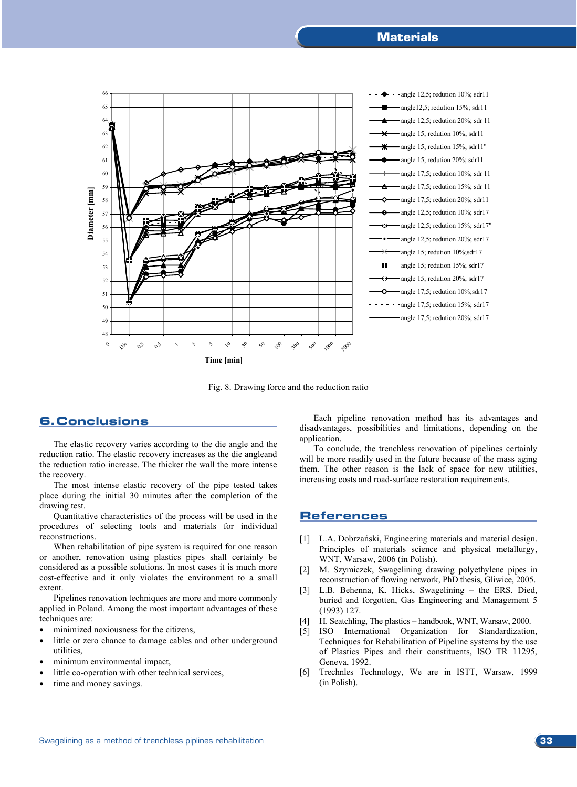

Fig. 8. Drawing force and the reduction ratio

## **6. Conclusions**  6. Conclusions

The elastic recovery varies according to the die angle and the reduction ratio. The elastic recovery increases as the die angleand the reduction ratio increase. The thicker the wall the more intense the recovery.

The most intense elastic recovery of the pipe tested takes place during the initial 30 minutes after the completion of the drawing test.

Quantitative characteristics of the process will be used in the procedures of selecting tools and materials for individual reconstructions.

When rehabilitation of pipe system is required for one reason or another, renovation using plastics pipes shall certainly be considered as a possible solutions. In most cases it is much more cost-effective and it only violates the environment to a small extent.

Pipelines renovation techniques are more and more commonly applied in Poland. Among the most important advantages of these techniques are:

- minimized noxiousness for the citizens,
- little or zero chance to damage cables and other underground utilities,
- minimum environmental impact,
- little co-operation with other technical services,
- time and money savings.

Each pipeline renovation method has its advantages and disadvantages, possibilities and limitations, depending on the application.

To conclude, the trenchless renovation of pipelines certainly will be more readily used in the future because of the mass aging them. The other reason is the lack of space for new utilities, increasing costs and road-surface restoration requirements.

## **References**  References

- [1] L.A. Dobrzański, Engineering materials and material design. Principles of materials science and physical metallurgy, WNT, Warsaw, 2006 (in Polish).
- [2] M. Szymiczek, Swagelining drawing polyethylene pipes in reconstruction of flowing network, PhD thesis, Gliwice, 2005.
- [3] L.B. Behenna, K. Hicks, Swagelining the ERS. Died, buried and forgotten, Gas Engineering and Management 5 (1993) 127.
- [4] H. Seatchling, The plastics handbook, WNT, Warsaw, 2000.
- [5] ISO International Organization for Standardization, Techniques for Rehabilitation of Pipeline systems by the use of Plastics Pipes and their constituents, ISO TR 11295, Geneva, 1992.
- [6] Trechnles Technology, We are in ISTT, Warsaw, 1999 (in Polish).